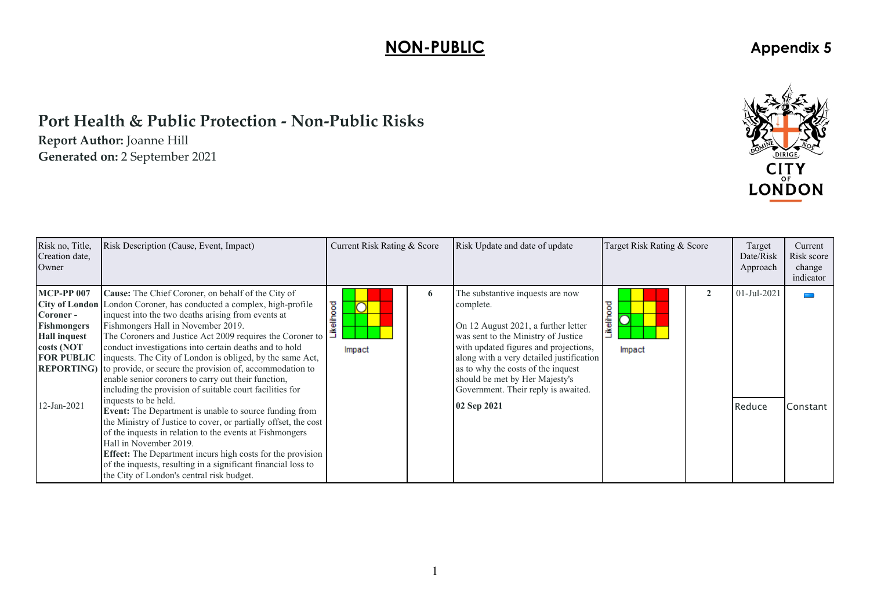## **NON-PUBLIC** Appendix 5

## **Port Health & Public Protection ‐ Non‐Public Risks**

**Report Author:** Joanne Hill **Generated on:** <sup>2</sup> September 2021



| Risk no, Title,<br>Creation date,<br>Owner                                                               | Risk Description (Cause, Event, Impact)                                                                                                                                                                                                                                                                                                                                                                                                                                                                                                                                                                                                                                                                                                                                                                                                                                                                                                                                                                                                                                    | Current Risk Rating & Score | Risk Update and date of update                                                                                                                                                                                                                                                                                                                 | Target Risk Rating & Score | Target<br>Date/Risk<br>Approach | Current<br>Risk score<br>change<br>indicator |
|----------------------------------------------------------------------------------------------------------|----------------------------------------------------------------------------------------------------------------------------------------------------------------------------------------------------------------------------------------------------------------------------------------------------------------------------------------------------------------------------------------------------------------------------------------------------------------------------------------------------------------------------------------------------------------------------------------------------------------------------------------------------------------------------------------------------------------------------------------------------------------------------------------------------------------------------------------------------------------------------------------------------------------------------------------------------------------------------------------------------------------------------------------------------------------------------|-----------------------------|------------------------------------------------------------------------------------------------------------------------------------------------------------------------------------------------------------------------------------------------------------------------------------------------------------------------------------------------|----------------------------|---------------------------------|----------------------------------------------|
| <b>MCP-PP 007</b><br>Coroner -<br><b>Fishmongers</b><br><b>Hall inquest</b><br>costs (NOT<br>12-Jan-2021 | Cause: The Chief Coroner, on behalf of the City of<br><b>City of London</b> London Coroner, has conducted a complex, high-profile<br>inquest into the two deaths arising from events at<br>Fishmongers Hall in November 2019.<br>The Coroners and Justice Act 2009 requires the Coroner to<br>conduct investigations into certain deaths and to hold<br><b>FOR PUBLIC</b> inquests. The City of London is obliged, by the same Act,<br><b>REPORTING</b> ) to provide, or secure the provision of, accommodation to<br>enable senior coroners to carry out their function,<br>including the provision of suitable court facilities for<br>inquests to be held.<br><b>Event:</b> The Department is unable to source funding from<br>the Ministry of Justice to cover, or partially offset, the cost<br>of the inquests in relation to the events at Fishmongers<br>Hall in November 2019.<br><b>Effect:</b> The Department incurs high costs for the provision<br>of the inquests, resulting in a significant financial loss to<br>the City of London's central risk budget. | 6<br>elihood<br>∩<br>Impact | The substantive inquests are now<br>complete.<br>On 12 August 2021, a further letter<br>was sent to the Ministry of Justice<br>with updated figures and projections,<br>along with a very detailed justification<br>as to why the costs of the inquest<br>should be met by Her Majesty's<br>Government. Their reply is awaited.<br>02 Sep 2021 | ikelihood<br>Impact        | 01-Jul-2021<br>Reduce           | Constant                                     |

1